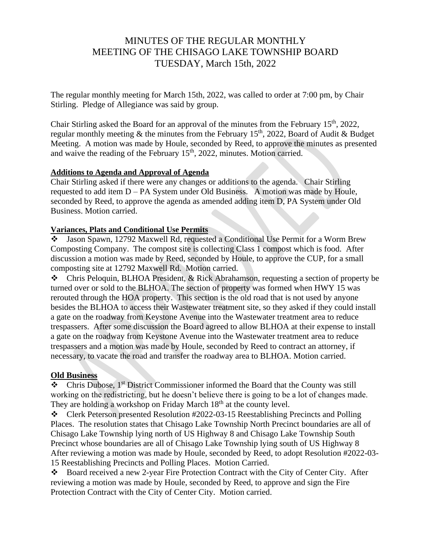# MINUTES OF THE REGULAR MONTHLY MEETING OF THE CHISAGO LAKE TOWNSHIP BOARD TUESDAY, March 15th, 2022

The regular monthly meeting for March 15th, 2022, was called to order at 7:00 pm, by Chair Stirling. Pledge of Allegiance was said by group.

Chair Stirling asked the Board for an approval of the minutes from the February 15th, 2022, regular monthly meeting & the minutes from the February 15<sup>th</sup>, 2022, Board of Audit & Budget Meeting. A motion was made by Houle, seconded by Reed, to approve the minutes as presented and waive the reading of the February  $15<sup>th</sup>$ , 2022, minutes. Motion carried.

### **Additions to Agenda and Approval of Agenda**

Chair Stirling asked if there were any changes or additions to the agenda. Chair Stirling requested to add item D – PA System under Old Business. A motion was made by Houle, seconded by Reed, to approve the agenda as amended adding item D, PA System under Old Business. Motion carried.

### **Variances, Plats and Conditional Use Permits**

❖ Jason Spawn, 12792 Maxwell Rd, requested a Conditional Use Permit for a Worm Brew Composting Company. The compost site is collecting Class 1 compost which is food. After discussion a motion was made by Reed, seconded by Houle, to approve the CUP, for a small composting site at 12792 Maxwell Rd. Motion carried.

❖ Chris Peloquin, BLHOA President, & Rick Abrahamson, requesting a section of property be turned over or sold to the BLHOA. The section of property was formed when HWY 15 was rerouted through the HOA property. This section is the old road that is not used by anyone besides the BLHOA to access their Wastewater treatment site, so they asked if they could install a gate on the roadway from Keystone Avenue into the Wastewater treatment area to reduce trespassers. After some discussion the Board agreed to allow BLHOA at their expense to install a gate on the roadway from Keystone Avenue into the Wastewater treatment area to reduce trespassers and a motion was made by Houle, seconded by Reed to contract an attorney, if necessary, to vacate the road and transfer the roadway area to BLHOA. Motion carried.

### **Old Business**

❖ Chris Dubose, 1st District Commissioner informed the Board that the County was still working on the redistricting, but he doesn't believe there is going to be a lot of changes made. They are holding a workshop on Friday March  $18<sup>th</sup>$  at the county level.

❖ Clerk Peterson presented Resolution #2022-03-15 Reestablishing Precincts and Polling Places. The resolution states that Chisago Lake Township North Precinct boundaries are all of Chisago Lake Township lying north of US Highway 8 and Chisago Lake Township South Precinct whose boundaries are all of Chisago Lake Township lying south of US Highway 8 After reviewing a motion was made by Houle, seconded by Reed, to adopt Resolution #2022-03- 15 Reestablishing Precincts and Polling Places. Motion Carried.

❖ Board received a new 2-year Fire Protection Contract with the City of Center City. After reviewing a motion was made by Houle, seconded by Reed, to approve and sign the Fire Protection Contract with the City of Center City. Motion carried.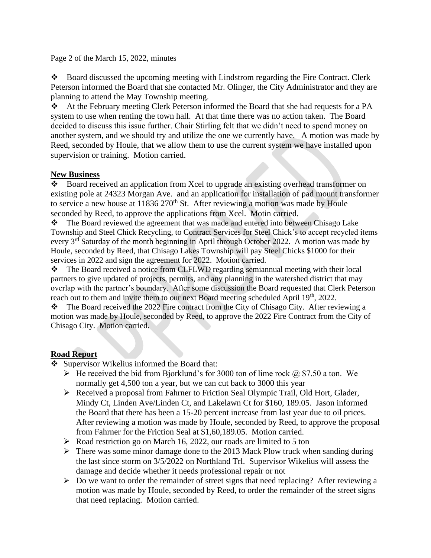Page 2 of the March 15, 2022, minutes

❖ Board discussed the upcoming meeting with Lindstrom regarding the Fire Contract. Clerk Peterson informed the Board that she contacted Mr. Olinger, the City Administrator and they are planning to attend the May Township meeting.

❖ At the February meeting Clerk Peterson informed the Board that she had requests for a PA system to use when renting the town hall. At that time there was no action taken. The Board decided to discuss this issue further. Chair Stirling felt that we didn't need to spend money on another system, and we should try and utilize the one we currently have. A motion was made by Reed, seconded by Houle, that we allow them to use the current system we have installed upon supervision or training. Motion carried.

### **New Business**

Board received an application from Xcel to upgrade an existing overhead transformer on existing pole at 24323 Morgan Ave. and an application for installation of pad mount transformer to service a new house at  $11836\,270$ <sup>th</sup> St. After reviewing a motion was made by Houle seconded by Reed, to approve the applications from Xcel. Motin carried.

❖ The Board reviewed the agreement that was made and entered into between Chisago Lake Township and Steel Chick Recycling, to Contract Services for Steel Chick's to accept recycled items every  $3<sup>rd</sup>$  Saturday of the month beginning in April through October 2022. A motion was made by Houle, seconded by Reed, that Chisago Lakes Township will pay Steel Chicks \$1000 for their services in 2022 and sign the agreement for 2022. Motion carried.

❖ The Board received a notice from CLFLWD regarding semiannual meeting with their local partners to give updated of projects, permits, and any planning in the watershed district that may overlap with the partner's boundary. After some discussion the Board requested that Clerk Peterson reach out to them and invite them to our next Board meeting scheduled April 19<sup>th</sup>, 2022.

❖ The Board received the 2022 Fire contract from the City of Chisago City. After reviewing a motion was made by Houle, seconded by Reed, to approve the 2022 Fire Contract from the City of Chisago City. Motion carried.

## **Road Report**

- ❖ Supervisor Wikelius informed the Board that:
	- $\triangleright$  He received the bid from Bjorklund's for 3000 ton of lime rock  $\omega$  \$7.50 a ton. We normally get 4,500 ton a year, but we can cut back to 3000 this year
	- ➢ Received a proposal from Fahrner to Friction Seal Olympic Trail, Old Hort, Glader, Mindy Ct, Linden Ave/Linden Ct, and Lakelawn Ct for \$160, 189.05. Jason informed the Board that there has been a 15-20 percent increase from last year due to oil prices. After reviewing a motion was made by Houle, seconded by Reed, to approve the proposal from Fahrner for the Friction Seal at \$1,60,189.05. Motion carried.
	- ➢ Road restriction go on March 16, 2022, our roads are limited to 5 ton
	- $\triangleright$  There was some minor damage done to the 2013 Mack Plow truck when sanding during the last since storm on 3/5/2022 on Northland Trl. Supervisor Wikelius will assess the damage and decide whether it needs professional repair or not
	- ➢ Do we want to order the remainder of street signs that need replacing? After reviewing a motion was made by Houle, seconded by Reed, to order the remainder of the street signs that need replacing. Motion carried.